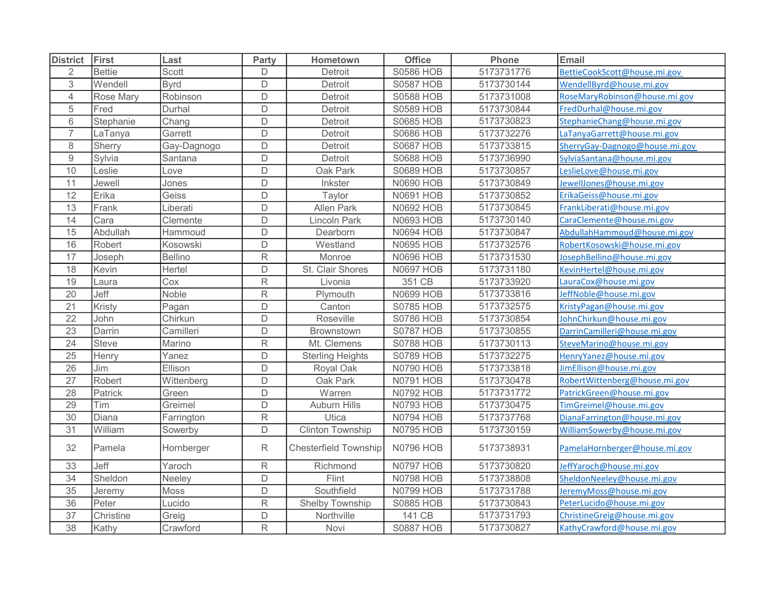| <b>District</b>  | First            | Last           | Party          | Hometown                     | <b>Office</b>    | Phone      | Email                          |
|------------------|------------------|----------------|----------------|------------------------------|------------------|------------|--------------------------------|
| $\overline{2}$   | <b>Bettie</b>    | Scott          | D              | Detroit                      | <b>S0586 HOB</b> | 5173731776 | BettieCookScott@house.mi.gov   |
| $\,$ 3 $\,$      | Wendell          | <b>Byrd</b>    | D              | Detroit                      | <b>S0587 HOB</b> | 5173730144 | WendellByrd@house.mi.gov       |
| $\overline{4}$   | <b>Rose Mary</b> | Robinson       | $\mathsf D$    | Detroit                      | <b>S0588 HOB</b> | 5173731008 | RoseMaryRobinson@house.mi.gov  |
| $\mathbf 5$      | Fred             | Durhal         | $\mathsf D$    | Detroit                      | <b>S0589 HOB</b> | 5173730844 | FredDurhal@house.mi.gov        |
| $\,6\,$          | Stephanie        | Chang          | D              | Detroit                      | <b>S0685 HOB</b> | 5173730823 | StephanieChang@house.mi.gov    |
| $\overline{7}$   | LaTanya          | Garrett        | D              | Detroit                      | <b>S0686 HOB</b> | 5173732276 | LaTanyaGarrett@house.mi.gov    |
| $\,8\,$          | Sherry           | Gay-Dagnogo    | $\overline{D}$ | Detroit                      | <b>S0687 HOB</b> | 5173733815 | SherryGay-Dagnogo@house.mi.gov |
| $\boldsymbol{9}$ | Sylvia           | Santana        | $\mathsf D$    | Detroit                      | <b>S0688 HOB</b> | 5173736990 | SylviaSantana@house.mi.gov     |
| 10               | Leslie           | _ove           | $\mathsf D$    | Oak Park                     | <b>S0689 HOB</b> | 5173730857 | eslieLove@house.mi.gov         |
| 11               | Jewell           | Jones          | D              | Inkster                      | <b>N0690 HOB</b> | 5173730849 | JewellJones@house.mi.gov       |
| 12               | Erika            | Geiss          | D              | Taylor                       | <b>N0691 HOB</b> | 5173730852 | ErikaGeiss@house.mi.gov        |
| 13               | Frank            | Liberati       | D              | <b>Allen Park</b>            | <b>N0692 HOB</b> | 5173730845 | FrankLiberati@house.mi.gov     |
| 14               | Cara             | Clemente       | $\overline{D}$ | <b>Lincoln Park</b>          | <b>N0693 HOB</b> | 5173730140 | CaraClemente@house.mi.gov      |
| 15               | Abdullah         | Hammoud        | D              | Dearborn                     | <b>N0694 HOB</b> | 5173730847 | AbdullahHammoud@house.mi.gov   |
| 16               | Robert           | Kosowski       | $\mathsf D$    | Westland                     | <b>N0695 HOB</b> | 5173732576 | RobertKosowski@house.mi.gov    |
| 17               | Joseph           | <b>Bellino</b> | R              | Monroe                       | <b>N0696 HOB</b> | 5173731530 | JosephBellino@house.mi.gov     |
| 18               | Kevin            | Hertel         | D              | St. Clair Shores             | <b>N0697 HOB</b> | 5173731180 | KevinHertel@house.mi.gov       |
| 19               | Laura            | Cox            | R              | Livonia                      | 351 CB           | 5173733920 | LauraCox@house.mi.gov          |
| 20               | Jeff             | Noble          | R              | Plymouth                     | <b>N0699 HOB</b> | 5173733816 | JeffNoble@house.mi.gov         |
| 21               | Kristy           | Pagan          | D              | Canton                       | <b>S0785 HOB</b> | 5173732575 | KristyPagan@house.mi.gov       |
| 22               | John             | Chirkun        | D              | Roseville                    | <b>S0786 HOB</b> | 5173730854 | JohnChirkun@house.mi.gov       |
| 23               | Darrin           | Camilleri      | D              | Brownstown                   | <b>S0787 HOB</b> | 5173730855 | DarrinCamilleri@house.mi.gov   |
| $\overline{24}$  | <b>Steve</b>     | Marino         | R              | Mt. Clemens                  | <b>S0788 HOB</b> | 5173730113 | SteveMarino@house.mi.gov       |
| $\overline{25}$  | Henry            | Yanez          | D              | <b>Sterling Heights</b>      | <b>S0789 HOB</b> | 5173732275 | HenryYanez@house.mi.gov        |
| 26               | Jim              | Ellison        | D              | Royal Oak                    | <b>N0790 HOB</b> | 5173733818 | JimEllison@house.mi.gov        |
| 27               | Robert           | Wittenberg     | D              | Oak Park                     | <b>N0791 HOB</b> | 5173730478 | RobertWittenberg@house.mi.gov  |
| 28               | Patrick          | Green          | $\mathsf D$    | Warren                       | <b>N0792 HOB</b> | 5173731772 | PatrickGreen@house.mi.gov      |
| 29               | Tim              | Greimel        | $\mathsf D$    | Auburn Hills                 | <b>N0793 HOB</b> | 5173730475 | TimGreimel@house.mi.gov        |
| 30               | Diana            | Farrington     | R              | Utica                        | <b>N0794 HOB</b> | 5173737768 | DianaFarrington@house.mi.gov   |
| 31               | William          | Sowerby        | D              | <b>Clinton Township</b>      | <b>N0795 HOB</b> | 5173730159 | WilliamSowerby@house.mi.gov    |
| 32               | Pamela           | Hornberger     | R              | <b>Chesterfield Township</b> | <b>N0796 HOB</b> | 5173738931 | PamelaHornberger@house.mi.gov  |
| 33               | Jeff             | Yaroch         | $\mathsf R$    | Richmond                     | <b>N0797 HOB</b> | 5173730820 | JeffYaroch@house.mi.gov        |
| 34               | Sheldon          | Neeley         | D              | Flint                        | <b>N0798 HOB</b> | 5173738808 | SheldonNeeley@house.mi.gov     |
| 35               | Jeremy           | Moss           | D              | Southfield                   | <b>N0799 HOB</b> | 5173731788 | JeremyMoss@house.mi.gov        |
| 36               | Peter            | Lucido         | R              | Shelby Township              | <b>S0885 HOB</b> | 5173730843 | PeterLucido@house.mi.gov       |
| 37               | Christine        | Greig          | D              | Northville                   | 141 CB           | 5173731793 | ChristineGreig@house.mi.gov    |
| 38               | Kathy            | Crawford       | R              | Novi                         | <b>S0887 HOB</b> | 5173730827 | KathyCrawford@house.mi.gov     |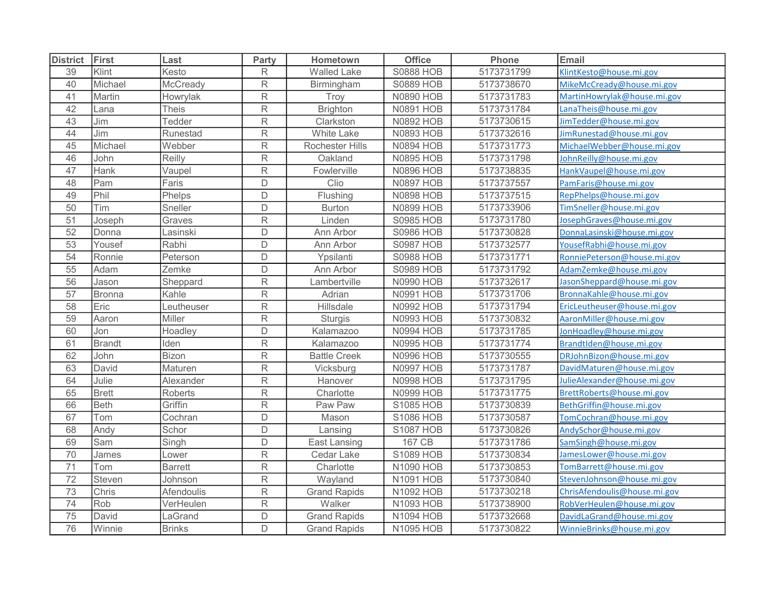| <b>District</b> | First         | Last           | Party                   | Hometown               | <b>Office</b>    | Phone      | Email                        |
|-----------------|---------------|----------------|-------------------------|------------------------|------------------|------------|------------------------------|
| 39              | Klint         | Kesto          | $\mathsf{R}$            | <b>Walled Lake</b>     | <b>S0888 HOB</b> | 5173731799 | KlintKesto@house.mi.gov      |
| 40              | Michael       | McCready       | $\mathsf R$             | Birmingham             | <b>S0889 HOB</b> | 5173738670 | MikeMcCready@house.mi.gov    |
| 41              | Martin        | Howrylak       | $\overline{\mathsf{R}}$ | Troy                   | <b>N0890 HOB</b> | 5173731783 | MartinHowrylak@house.mi.gov  |
| 42              | Lana          | <b>Theis</b>   | R                       | <b>Brighton</b>        | <b>N0891 HOB</b> | 5173731784 | LanaTheis@house.mi.gov       |
| 43              | Jim           | Tedder         | $\mathsf R$             | Clarkston              | <b>N0892 HOB</b> | 5173730615 | JimTedder@house.mi.gov       |
| 44              | Jim           | Runestad       | $\mathsf R$             | <b>White Lake</b>      | <b>N0893 HOB</b> | 5173732616 | JimRunestad@house.mi.gov     |
| 45              | Michael       | Webber         | $\mathsf{R}$            | <b>Rochester Hills</b> | <b>N0894 HOB</b> | 5173731773 | MichaelWebber@house.mi.gov   |
| 46              | John          | Reilly         | $\mathsf R$             | Oakland                | <b>N0895 HOB</b> | 5173731798 | JohnReilly@house.mi.gov      |
| 47              | Hank          | Vaupel         | R                       | Fowlerville            | <b>N0896 HOB</b> | 5173738835 | HankVaupel@house.mi.gov      |
| 48              | Pam           | Faris          | D                       | Clio                   | <b>N0897 HOB</b> | 5173737557 | PamFaris@house.mi.gov        |
| 49              | Phil          | Phelps         | D                       | Flushing               | <b>N0898 HOB</b> | 5173737515 | RepPhelps@house.mi.gov       |
| 50              | Tim           | Sneller        | D                       | <b>Burton</b>          | <b>N0899 HOB</b> | 5173733906 | TimSneller@house.mi.gov      |
| 51              | Joseph        | Graves         | $\overline{\mathsf{R}}$ | Linden                 | <b>S0985 HOB</b> | 5173731780 | JosephGraves@house.mi.gov    |
| 52              | Donna         | Lasinski       | D                       | Ann Arbor              | <b>S0986 HOB</b> | 5173730828 | DonnaLasinski@house.mi.gov   |
| 53              | Yousef        | Rabhi          | D                       | Ann Arbor              | <b>S0987 HOB</b> | 5173732577 | YousefRabhi@house.mi.gov     |
| 54              | Ronnie        | Peterson       | D                       | Ypsilanti              | <b>S0988 HOB</b> | 5173731771 | RonniePeterson@house.mi.gov  |
| 55              | Adam          | Zemke          | D                       | Ann Arbor              | <b>S0989 HOB</b> | 5173731792 | AdamZemke@house.mi.gov       |
| 56              | Jason         | Sheppard       | R                       | Lambertville           | <b>N0990 HOB</b> | 5173732617 | JasonSheppard@house.mi.gov   |
| 57              | <b>Bronna</b> | Kahle          | R                       | Adrian                 | <b>N0991 HOB</b> | 5173731706 | BronnaKahle@house.mi.gov     |
| 58              | Eric          | Leutheuser     | $\mathsf R$             | Hillsdale              | <b>N0992 HOB</b> | 5173731794 | EricLeutheuser@house.mi.gov  |
| 59              | Aaron         | Miller         | ${\sf R}$               | <b>Sturgis</b>         | <b>N0993 HOB</b> | 5173730832 | AaronMiller@house.mi.gov     |
| 60              | Jon           | Hoadley        | D                       | Kalamazoo              | <b>N0994 HOB</b> | 5173731785 | JonHoadley@house.mi.gov      |
| 61              | <b>Brandt</b> | lden           | $\overline{\mathsf{R}}$ | Kalamazoo              | <b>N0995 HOB</b> | 5173731774 | BrandtIden@house.mi.gov      |
| 62              | John          | Bizon          | R                       | <b>Battle Creek</b>    | <b>N0996 HOB</b> | 5173730555 | DRJohnBizon@house.mi.gov     |
| 63              | David         | Maturen        | $\overline{\mathsf{R}}$ | Vicksburg              | <b>N0997 HOB</b> | 5173731787 | DavidMaturen@house.mi.gov    |
| 64              | Julie         | Alexander      | $\overline{\mathsf{R}}$ | Hanover                | <b>N0998 HOB</b> | 5173731795 | JulieAlexander@house.mi.gov  |
| 65              | <b>Brett</b>  | <b>Roberts</b> | $\mathsf R$             | Charlotte              | <b>N0999 HOB</b> | 5173731775 | BrettRoberts@house.mi.gov    |
| 66              | <b>Beth</b>   | Griffin        | $\overline{\mathsf{R}}$ | Paw Paw                | <b>S1085 HOB</b> | 5173730839 | BethGriffin@house.mi.gov     |
| 67              | Tom           | Cochran        | D                       | Mason                  | <b>S1086 HOB</b> | 5173730587 | TomCochran@house.mi.gov      |
| 68              | Andy          | Schor          | D                       | Lansing                | <b>S1087 HOB</b> | 5173730826 | AndySchor@house.mi.gov       |
| 69              | Sam           | Singh          | D                       | East Lansing           | 167 CB           | 5173731786 | SamSingh@house.mi.gov        |
| 70              | James         | Lower          | $\mathsf R$             | Cedar Lake             | <b>S1089 HOB</b> | 5173730834 | JamesLower@house.mi.gov      |
| 71              | Tom           | <b>Barrett</b> | ${\sf R}$               | Charlotte              | <b>N1090 HOB</b> | 5173730853 | TomBarrett@house.mi.gov      |
| 72              | Steven        | Johnson        | R                       | Wayland                | <b>N1091 HOB</b> | 5173730840 | StevenJohnson@house.mi.gov   |
| 73              | Chris         | Afendoulis     | ${\sf R}$               | <b>Grand Rapids</b>    | N1092 HOB        | 5173730218 | ChrisAfendoulis@house.mi.gov |
| 74              | Rob           | VerHeulen      | $\mathsf R$             | Walker                 | <b>N1093 HOB</b> | 5173738900 | RobVerHeulen@house.mi.gov    |
| 75              | David         | LaGrand        | D                       | <b>Grand Rapids</b>    | <b>N1094 HOB</b> | 5173732668 | DavidLaGrand@house.mi.gov    |
| 76              | Winnie        | <b>Brinks</b>  | D                       | <b>Grand Rapids</b>    | <b>N1095 HOB</b> | 5173730822 | WinnieBrinks@house.mi.gov    |